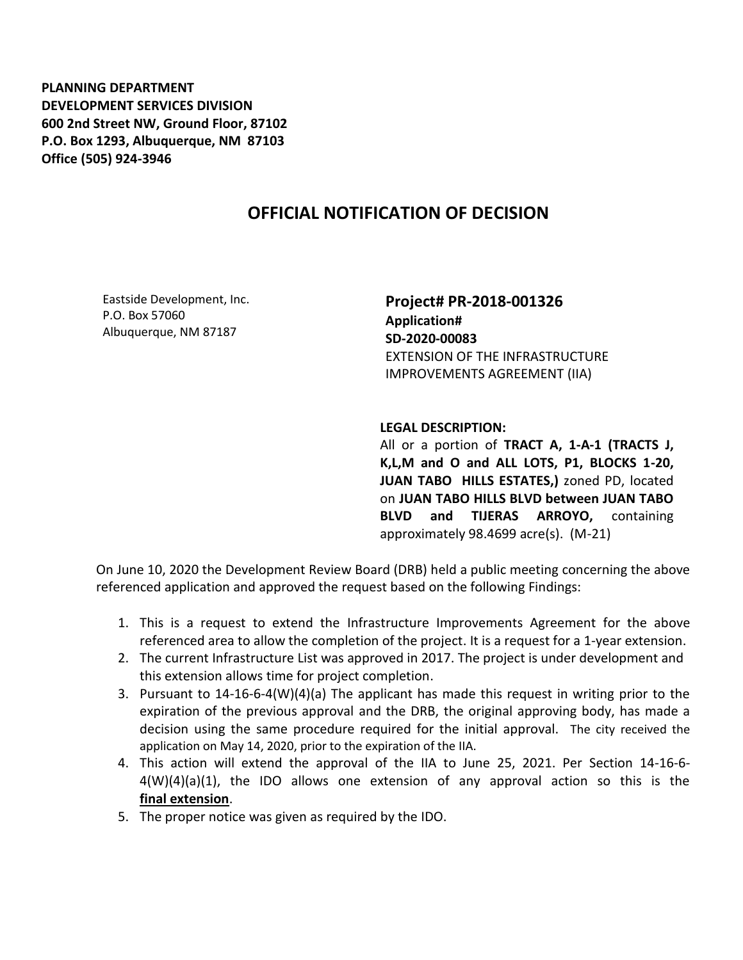**PLANNING DEPARTMENT DEVELOPMENT SERVICES DIVISION 600 2nd Street NW, Ground Floor, 87102 P.O. Box 1293, Albuquerque, NM 87103 Office (505) 924-3946** 

## **OFFICIAL NOTIFICATION OF DECISION**

Eastside Development, Inc. P.O. Box 57060 Albuquerque, NM 87187

**Project# PR-2018-001326 Application# SD-2020-00083** EXTENSION OF THE INFRASTRUCTURE IMPROVEMENTS AGREEMENT (IIA)

## **LEGAL DESCRIPTION:**

All or a portion of **TRACT A, 1-A-1 (TRACTS J, K,L,M and O and ALL LOTS, P1, BLOCKS 1-20, JUAN TABO HILLS ESTATES,)** zoned PD, located on **JUAN TABO HILLS BLVD between JUAN TABO BLVD and TIJERAS ARROYO,** containing approximately 98.4699 acre(s). (M-21)

On June 10, 2020 the Development Review Board (DRB) held a public meeting concerning the above referenced application and approved the request based on the following Findings:

- 1. This is a request to extend the Infrastructure Improvements Agreement for the above referenced area to allow the completion of the project. It is a request for a 1-year extension.
- 2. The current Infrastructure List was approved in 2017. The project is under development and this extension allows time for project completion.
- 3. Pursuant to 14-16-6-4(W)(4)(a) The applicant has made this request in writing prior to the expiration of the previous approval and the DRB, the original approving body, has made a decision using the same procedure required for the initial approval. The city received the application on May 14, 2020, prior to the expiration of the IIA.
- 4. This action will extend the approval of the IIA to June 25, 2021. Per Section 14-16-6-  $4(W)(4)(a)(1)$ , the IDO allows one extension of any approval action so this is the **final extension**.
- 5. The proper notice was given as required by the IDO.